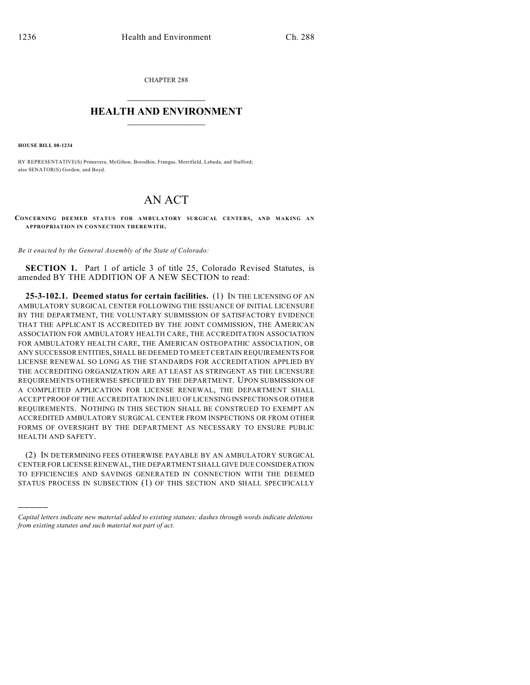CHAPTER 288  $\overline{\phantom{a}}$  . The set of the set of the set of the set of the set of the set of the set of the set of the set of the set of the set of the set of the set of the set of the set of the set of the set of the set of the set o

## **HEALTH AND ENVIRONMENT**  $\_$

**HOUSE BILL 08-1234**

)))))

BY REPRESENTATIVE(S) Primavera, McGihon, Borodkin, Frangas, Merrifield, Labuda, and Stafford; also SENATOR(S) Gordon, and Boyd.

## AN ACT

**CONCERNING DEEMED STATUS FOR AMBULATORY SURGICAL CENTERS, AND MAKING AN APPROPRIATION IN CONNECTION THEREWITH.**

*Be it enacted by the General Assembly of the State of Colorado:*

**SECTION 1.** Part 1 of article 3 of title 25, Colorado Revised Statutes, is amended BY THE ADDITION OF A NEW SECTION to read:

**25-3-102.1. Deemed status for certain facilities.** (1) IN THE LICENSING OF AN AMBULATORY SURGICAL CENTER FOLLOWING THE ISSUANCE OF INITIAL LICENSURE BY THE DEPARTMENT, THE VOLUNTARY SUBMISSION OF SATISFACTORY EVIDENCE THAT THE APPLICANT IS ACCREDITED BY THE JOINT COMMISSION, THE AMERICAN ASSOCIATION FOR AMBULATORY HEALTH CARE, THE ACCREDITATION ASSOCIATION FOR AMBULATORY HEALTH CARE, THE AMERICAN OSTEOPATHIC ASSOCIATION, OR ANY SUCCESSOR ENTITIES, SHALL BE DEEMED TO MEET CERTAIN REQUIREMENTS FOR LICENSE RENEWAL SO LONG AS THE STANDARDS FOR ACCREDITATION APPLIED BY THE ACCREDITING ORGANIZATION ARE AT LEAST AS STRINGENT AS THE LICENSURE REQUIREMENTS OTHERWISE SPECIFIED BY THE DEPARTMENT. UPON SUBMISSION OF A COMPLETED APPLICATION FOR LICENSE RENEWAL, THE DEPARTMENT SHALL ACCEPT PROOF OF THE ACCREDITATION IN LIEU OF LICENSING INSPECTIONS OR OTHER REQUIREMENTS. NOTHING IN THIS SECTION SHALL BE CONSTRUED TO EXEMPT AN ACCREDITED AMBULATORY SURGICAL CENTER FROM INSPECTIONS OR FROM OTHER FORMS OF OVERSIGHT BY THE DEPARTMENT AS NECESSARY TO ENSURE PUBLIC HEALTH AND SAFETY.

(2) IN DETERMINING FEES OTHERWISE PAYABLE BY AN AMBULATORY SURGICAL CENTER FOR LICENSE RENEWAL, THE DEPARTMENT SHALL GIVE DUE CONSIDERATION TO EFFICIENCIES AND SAVINGS GENERATED IN CONNECTION WITH THE DEEMED STATUS PROCESS IN SUBSECTION (1) OF THIS SECTION AND SHALL SPECIFICALLY

*Capital letters indicate new material added to existing statutes; dashes through words indicate deletions from existing statutes and such material not part of act.*